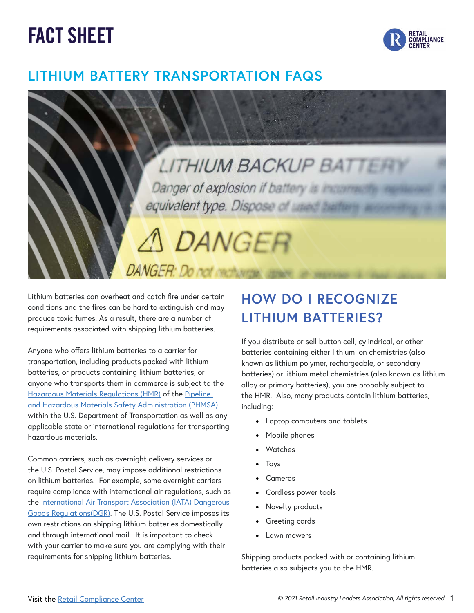# FACT SHEET



### **LITHIUM BATTERY TRANSPORTATION FAQS**

Lithium batteries can overheat and catch fire under certain conditions and the fires can be hard to extinguish and may produce toxic fumes. As a result, there are a number of requirements associated with shipping lithium batteries.

DANGER Do

Anyone who offers lithium batteries to a carrier for transportation, including products packed with lithium batteries, or products containing lithium batteries, or anyone who transports them in commerce is subject to the [Hazardous Materials Regulations \(HMR\)](https://www.ecfr.gov/current/title-49/subtitle-B/chapter-I) of the [Pipeline](https://www.phmsa.dot.gov/)  [and Hazardous Materials Safety Administration \(PHMSA\)](https://www.phmsa.dot.gov/) within the U.S. Department of Transportation as well as any applicable state or international regulations for transporting hazardous materials.

Common carriers, such as overnight delivery services or the U.S. Postal Service, may impose additional restrictions on lithium batteries. For example, some overnight carriers require compliance with international air regulations, such as the [International Air Transport Association \(IATA\) Dangerous](https://www.iata.org/en/publications/dgr/)  [Goods Regulations](https://www.iata.org/en/publications/dgr/)(DGR). The U.S. Postal Service imposes its own restrictions on shipping lithium batteries domestically and through international mail. It is important to check with your carrier to make sure you are complying with their requirements for shipping lithium batteries.

### **HOW DO I RECOGNIZE LITHIUM BATTERIES?**

If you distribute or sell button cell, cylindrical, or other batteries containing either lithium ion chemistries (also known as lithium polymer, rechargeable, or secondary batteries) or lithium metal chemistries (also known as lithium alloy or primary batteries), you are probably subject to the HMR. Also, many products contain lithium batteries, including:

- Laptop computers and tablets
- Mobile phones
- **Watches**
- **Toys**

**LITHIUM BACKUP BATT** 

Danger of explosion if battery is in the

equivalent type. Dispose of wast built

DANGER

- Cameras
- Cordless power tools
- Novelty products
- Greeting cards
- Lawn mowers

Shipping products packed with or containing lithium batteries also subjects you to the HMR.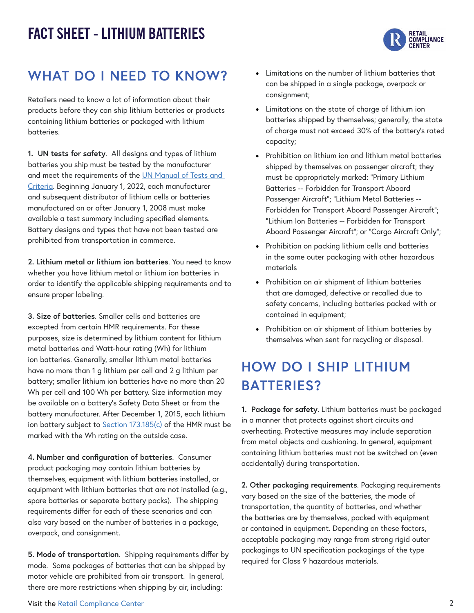# FACT SHEET - LITHIUM BATTERIES



### **WHAT DO I NEED TO KNOW?**

Retailers need to know a lot of information about their products before they can ship lithium batteries or products containing lithium batteries or packaged with lithium batteries.

**1. UN tests for safety**. All designs and types of lithium batteries you ship must be tested by the manufacturer and meet the requirements of the [UN Manual of Tests and](https://unece.org/about-manual-tests-and-criteria)  [Criteria](https://unece.org/about-manual-tests-and-criteria). Beginning January 1, 2022, each manufacturer and subsequent distributor of lithium cells or batteries manufactured on or after January 1, 2008 must make available a test summary including specified elements. Battery designs and types that have not been tested are prohibited from transportation in commerce.

**2. Lithium metal or lithium ion batteries**. You need to know whether you have lithium metal or lithium ion batteries in order to identify the applicable shipping requirements and to ensure proper labeling.

**3. Size of batteries**. Smaller cells and batteries are excepted from certain HMR requirements. For these purposes, size is determined by lithium content for lithium metal batteries and Watt-hour rating (Wh) for lithium ion batteries. Generally, smaller lithium metal batteries have no more than 1 g lithium per cell and 2 g lithium per battery; smaller lithium ion batteries have no more than 20 Wh per cell and 100 Wh per battery. Size information may be available on a battery's Safety Data Sheet or from the battery manufacturer. After December 1, 2015, each lithium ion battery subject to [Section 173.185\(c\)](https://www.ecfr.gov/current/title-49/subtitle-B/chapter-I/subchapter-C/part-173/subpart-E/section-173.185) of the HMR must be marked with the Wh rating on the outside case.

**4. Number and configuration of batteries**. Consumer product packaging may contain lithium batteries by themselves, equipment with lithium batteries installed, or equipment with lithium batteries that are not installed (e.g., spare batteries or separate battery packs). The shipping requirements differ for each of these scenarios and can also vary based on the number of batteries in a package, overpack, and consignment.

**5. Mode of transportation**. Shipping requirements differ by mode. Some packages of batteries that can be shipped by motor vehicle are prohibited from air transport. In general, there are more restrictions when shipping by air, including:

- Limitations on the number of lithium batteries that can be shipped in a single package, overpack or consignment;
- Limitations on the state of charge of lithium ion batteries shipped by themselves; generally, the state of charge must not exceed 30% of the battery's rated capacity;
- Prohibition on lithium ion and lithium metal batteries shipped by themselves on passenger aircraft; they must be appropriately marked: "Primary Lithium Batteries -- Forbidden for Transport Aboard Passenger Aircraft"; "Lithium Metal Batteries -- Forbidden for Transport Aboard Passenger Aircraft"; "Lithium Ion Batteries -- Forbidden for Transport Aboard Passenger Aircraft"; or "Cargo Aircraft Only";
- Prohibition on packing lithium cells and batteries in the same outer packaging with other hazardous materials
- Prohibition on air shipment of lithium batteries that are damaged, defective or recalled due to safety concerns, including batteries packed with or contained in equipment;
- Prohibition on air shipment of lithium batteries by themselves when sent for recycling or disposal.

### **HOW DO I SHIP LITHIUM BATTERIES?**

**1. Package for safety**. Lithium batteries must be packaged in a manner that protects against short circuits and overheating. Protective measures may include separation from metal objects and cushioning. In general, equipment containing lithium batteries must not be switched on (even accidentally) during transportation.

**2. Other packaging requirements**. Packaging requirements vary based on the size of the batteries, the mode of transportation, the quantity of batteries, and whether the batteries are by themselves, packed with equipment or contained in equipment. Depending on these factors, acceptable packaging may range from strong rigid outer packagings to UN specification packagings of the type required for Class 9 hazardous materials.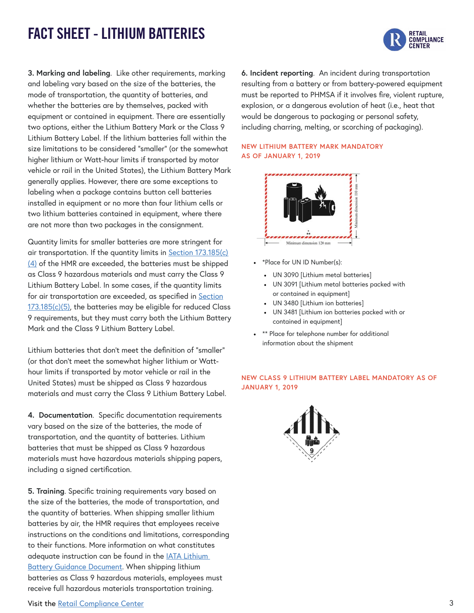## FACT SHEET - LITHIUM BATTERIES



**3. Marking and labeling**. Like other requirements, marking and labeling vary based on the size of the batteries, the mode of transportation, the quantity of batteries, and whether the batteries are by themselves, packed with equipment or contained in equipment. There are essentially two options, either the Lithium Battery Mark or the Class 9 Lithium Battery Label. If the lithium batteries fall within the size limitations to be considered "smaller" (or the somewhat higher lithium or Watt-hour limits if transported by motor vehicle or rail in the United States), the Lithium Battery Mark generally applies. However, there are some exceptions to labeling when a package contains button cell batteries installed in equipment or no more than four lithium cells or two lithium batteries contained in equipment, where there are not more than two packages in the consignment.

Quantity limits for smaller batteries are more stringent for air transportation. If the quantity limits in [Section 173.185\(c\)](https://www.ecfr.gov/current/title-49/subtitle-B/chapter-I/subchapter-C/part-173/subpart-E/section-173.185) [\(4\)](https://www.ecfr.gov/current/title-49/subtitle-B/chapter-I/subchapter-C/part-173/subpart-E/section-173.185) of the HMR are exceeded, the batteries must be shipped as Class 9 hazardous materials and must carry the Class 9 Lithium Battery Label. In some cases, if the quantity limits for air transportation are exceeded, as specified in [Section](https://www.ecfr.gov/current/title-49/subtitle-B/chapter-I/subchapter-C/part-173/subpart-E/section-173.185)  $173.185(c)(5)$ , the batteries may be eligible for reduced Class 9 requirements, but they must carry both the Lithium Battery Mark and the Class 9 Lithium Battery Label.

Lithium batteries that don't meet the definition of "smaller" (or that don't meet the somewhat higher lithium or Watthour limits if transported by motor vehicle or rail in the United States) must be shipped as Class 9 hazardous materials and must carry the Class 9 Lithium Battery Label.

**4. Documentation**. Specific documentation requirements vary based on the size of the batteries, the mode of transportation, and the quantity of batteries. Lithium batteries that must be shipped as Class 9 hazardous materials must have hazardous materials shipping papers, including a signed certification.

**5. Training**. Specific training requirements vary based on the size of the batteries, the mode of transportation, and the quantity of batteries. When shipping smaller lithium batteries by air, the HMR requires that employees receive instructions on the conditions and limitations, corresponding to their functions. More information on what constitutes adequate instruction can be found in the [IATA Lithium](https://www.iata.org/contentassets/05e6d8742b0047259bf3a700bc9d42b9/lithium-battery-guidance-document-2021.pdf)  **[Battery Guidance Document.](https://www.iata.org/contentassets/05e6d8742b0047259bf3a700bc9d42b9/lithium-battery-guidance-document-2021.pdf) When shipping lithium** batteries as Class 9 hazardous materials, employees must receive full hazardous materials transportation training.

**6. Incident reporting**. An incident during transportation resulting from a battery or from battery-powered equipment must be reported to PHMSA if it involves fire, violent rupture, explosion, or a dangerous evolution of heat (i.e., heat that would be dangerous to packaging or personal safety, including charring, melting, or scorching of packaging).

#### **NEW LITHIUM BATTERY MARK MANDATORY AS OF JANUARY 1, 2019**



- \*Place for UN ID Number(s):
	- UN 3090 [Lithium metal batteries]
	- UN 3091 [Lithium metal batteries packed with or contained in equipment]
	- UN 3480 [Lithium ion batteries]
	- UN 3481 [Lithium ion batteries packed with or contained in equipment]
- \*\* Place for telephone number for additional information about the shipment

#### **NEW CLASS 9 LITHIUM BATTERY LABEL MANDATORY AS OF JANUARY 1, 2019**